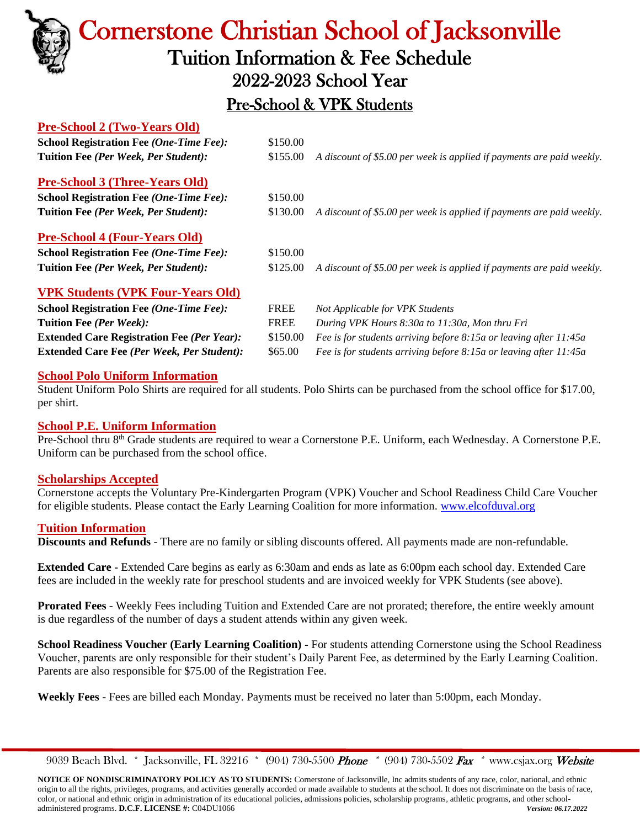

# Cornerstone Christian School of Jacksonville Tuition Information & Fee Schedule 2022-2023 School Year

## Pre-School & VPK Students

#### **Pre-School 2 (Two-Years Old)**

| <b>School Registration Fee (One-Time Fee):</b>    | \$150.00    |                                                                       |  |  |
|---------------------------------------------------|-------------|-----------------------------------------------------------------------|--|--|
| Tuition Fee (Per Week, Per Student):              | \$155.00    | A discount of \$5.00 per week is applied if payments are paid weekly. |  |  |
| <b>Pre-School 3 (Three-Years Old)</b>             |             |                                                                       |  |  |
| <b>School Registration Fee (One-Time Fee):</b>    | \$150.00    |                                                                       |  |  |
| Tuition Fee (Per Week, Per Student):              | \$130.00    | A discount of \$5.00 per week is applied if payments are paid weekly. |  |  |
| <b>Pre-School 4 (Four-Years Old)</b>              |             |                                                                       |  |  |
| <b>School Registration Fee (One-Time Fee):</b>    | \$150.00    |                                                                       |  |  |
| Tuition Fee (Per Week, Per Student):              | \$125.00    | A discount of \$5.00 per week is applied if payments are paid weekly. |  |  |
| <b>VPK Students (VPK Four-Years Old)</b>          |             |                                                                       |  |  |
| <b>School Registration Fee (One-Time Fee):</b>    | <b>FREE</b> | Not Applicable for VPK Students                                       |  |  |
| Tuition Fee (Per Week):                           | <b>FREE</b> | During VPK Hours 8:30a to 11:30a, Mon thru Fri                        |  |  |
| <b>Extended Care Registration Fee (Per Year):</b> | \$150.00    | Fee is for students arriving before 8:15a or leaving after 11:45a     |  |  |
| <b>Extended Care Fee (Per Week, Per Student):</b> | \$65.00     | Fee is for students arriving before 8:15a or leaving after 11:45a     |  |  |

#### **School Polo Uniform Information**

Student Uniform Polo Shirts are required for all students. Polo Shirts can be purchased from the school office for \$17.00, per shirt.

#### **School P.E. Uniform Information**

Pre-School thru 8<sup>th</sup> Grade students are required to wear a Cornerstone P.E. Uniform, each Wednesday. A Cornerstone P.E. Uniform can be purchased from the school office.

#### **Scholarships Accepted**

Cornerstone accepts the Voluntary Pre-Kindergarten Program (VPK) Voucher and School Readiness Child Care Voucher for eligible students. Please contact the Early Learning Coalition for more information. [www.elcofduval.org](http://www.elcofduval.org/) 

#### **Tuition Information**

**Discounts and Refunds** - There are no family or sibling discounts offered. All payments made are non-refundable.

**Extended Care** - Extended Care begins as early as 6:30am and ends as late as 6:00pm each school day. Extended Care fees are included in the weekly rate for preschool students and are invoiced weekly for VPK Students (see above).

**Prorated Fees** - Weekly Fees including Tuition and Extended Care are not prorated; therefore, the entire weekly amount is due regardless of the number of days a student attends within any given week.

**School Readiness Voucher (Early Learning Coalition) -** For students attending Cornerstone using the School Readiness Voucher, parents are only responsible for their student's Daily Parent Fee, as determined by the Early Learning Coalition. Parents are also responsible for \$75.00 of the Registration Fee.

**Weekly Fees** - Fees are billed each Monday. Payments must be received no later than 5:00pm, each Monday.

9039 Beach Blvd. \* Jacksonville, FL 32216 \* (904) 730-5500 Phone \* (904) 730-5502 Fax \* [www.csjax.org](http://www.csjax.org/) Website

**NOTICE OF NONDISCRIMINATORY POLICY AS TO STUDENTS:** Cornerstone of Jacksonville, Inc admits students of any race, color, national, and ethnic origin to all the rights, privileges, programs, and activities generally accorded or made available to students at the school. It does not discriminate on the basis of race, color, or national and ethnic origin in administration of its educational policies, admissions policies, scholarship programs, athletic programs, and other schooladministered programs. **D.C.F. LICENSE #:** C04DU1066 *Version: 06.17.2022*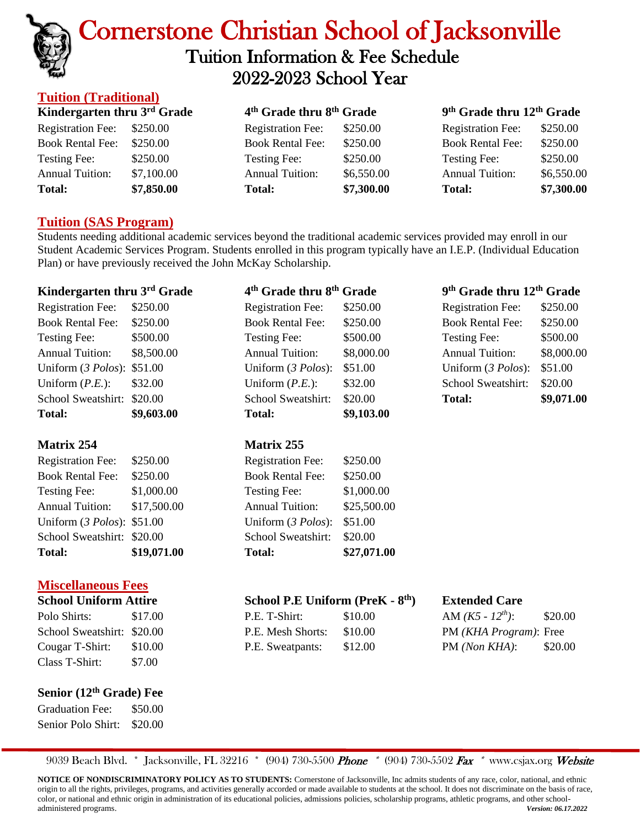

## Cornerstone Christian School of Jacksonville Tuition Information & Fee Schedule 2022-2023 School Year

#### **Tuition (Traditional) Kindergarten thru 3 rd Grade 4 th Grade thru 8th Grade 9 th Grade thru 12th Grade** Registration Fee: \$250.00 Registration Fee: \$250.00 Registration Fee: \$250.00 Book Rental Fee: \$250.00 Book Rental Fee: \$250.00 Book Rental Fee: \$250.00 Testing Fee: \$250.00 Testing Fee: \$250.00 Testing Fee: \$250.00 Annual Tuition: \$7,100.00 Annual Tuition: \$6,550.00 Annual Tuition: \$6,550.00 **Total: \$7,850.00 Total: \$7,300.00 Total: \$7,300.00**

### **Tuition (SAS Program)**

Students needing additional academic services beyond the traditional academic services provided may enroll in our Student Academic Services Program. Students enrolled in this program typically have an I.E.P. (Individual Education Plan) or have previously received the John McKay Scholarship.

| Kindergarten thru 3 <sup>rd</sup> Grade |             | 4 <sup>th</sup> Grade thru 8 <sup>th</sup> Grade |                                              | 9 <sup>th</sup> Grade thru 12 <sup>th</sup> Grade |                      |  |
|-----------------------------------------|-------------|--------------------------------------------------|----------------------------------------------|---------------------------------------------------|----------------------|--|
| <b>Registration Fee:</b>                | \$250.00    | <b>Registration Fee:</b>                         | \$250.00                                     | <b>Registration Fee:</b>                          | \$250.00             |  |
| <b>Book Rental Fee:</b>                 | \$250.00    | <b>Book Rental Fee:</b>                          | \$250.00                                     | <b>Book Rental Fee:</b>                           | \$250.00             |  |
| <b>Testing Fee:</b>                     | \$500.00    | Testing Fee:                                     | \$500.00                                     | Testing Fee:                                      | \$500.00             |  |
| <b>Annual Tuition:</b>                  | \$8,500.00  | <b>Annual Tuition:</b>                           | \$8,000.00                                   | <b>Annual Tuition:</b>                            | \$8,000.00           |  |
| Uniform (3 Polos):                      | \$51.00     | Uniform (3 Polos):                               | \$51.00                                      | Uniform (3 Polos):                                | \$51.00              |  |
| Uniform $(P.E.):$                       | \$32.00     | Uniform $(P.E.):$                                | \$32.00                                      | School Sweatshirt:                                | \$20.00              |  |
| School Sweatshirt:                      | \$20.00     | School Sweatshirt:                               | \$20.00                                      | <b>Total:</b>                                     | \$9,071.00           |  |
| <b>Total:</b>                           | \$9,603.00  | <b>Total:</b>                                    | \$9,103.00                                   |                                                   |                      |  |
| <b>Matrix 254</b>                       |             | <b>Matrix 255</b>                                |                                              |                                                   |                      |  |
| <b>Registration Fee:</b>                | \$250.00    | <b>Registration Fee:</b>                         | \$250.00                                     |                                                   |                      |  |
| <b>Book Rental Fee:</b>                 | \$250.00    | <b>Book Rental Fee:</b>                          | \$250.00                                     |                                                   |                      |  |
| Testing Fee:                            | \$1,000.00  | Testing Fee:                                     | \$1,000.00                                   |                                                   |                      |  |
| <b>Annual Tuition:</b>                  | \$17,500.00 | <b>Annual Tuition:</b>                           | \$25,500.00                                  |                                                   |                      |  |
| Uniform (3 Polos):                      | \$51.00     | Uniform (3 Polos):                               | \$51.00                                      |                                                   |                      |  |
| School Sweatshirt:                      | \$20.00     | School Sweatshirt:                               | \$20.00                                      |                                                   |                      |  |
| Total:                                  | \$19,071.00 | <b>Total:</b>                                    | \$27,071.00                                  |                                                   |                      |  |
| <b>Miscellaneous Fees</b>               |             |                                                  |                                              |                                                   |                      |  |
| <b>School Uniform Attire</b>            |             |                                                  | School P.E Uniform (PreK - 8 <sup>th</sup> ) |                                                   | <b>Extended Care</b> |  |
| Polo Shirts:                            | \$17.00     | P.E. T-Shirt:                                    | \$10.00                                      | AM $(K5 - 12^{th})$ :                             | \$20.00              |  |
| School Sweatshirt:                      | \$20.00     | P.E. Mesh Shorts:                                | \$10.00                                      | PM (KHA Program): Free                            |                      |  |
| Cougar T-Shirt:                         | \$10.00     | P.E. Sweatpants:                                 | \$12.00                                      | PM (Non KHA):                                     | \$20.00              |  |
| Class T-Shirt:                          | \$7.00      |                                                  |                                              |                                                   |                      |  |
|                                         |             |                                                  |                                              |                                                   |                      |  |

**Senior (12 th Grade) Fee**

Graduation Fee: \$50.00 Senior Polo Shirt: \$20.00

9039 Beach Blvd. \* Jacksonville, FL 32216 \* (904) 730-5500 Phone \* (904) 730-5502 Fax \* [www.csjax.org](http://www.csjax.org/) Website

NOTICE OF NONDISCRIMINATORY POLICY AS TO STUDENTS: Cornerstone of Jacksonville, Inc admits students of any race, color, national, and ethnic origin to all the rights, privileges, programs, and activities generally accorded or made available to students at the school. It does not discriminate on the basis of race, color, or national and ethnic origin in administration of its educational policies, admissions policies, scholarship programs, athletic programs, and other schooladministered programs. *Version: 06.17.2022*